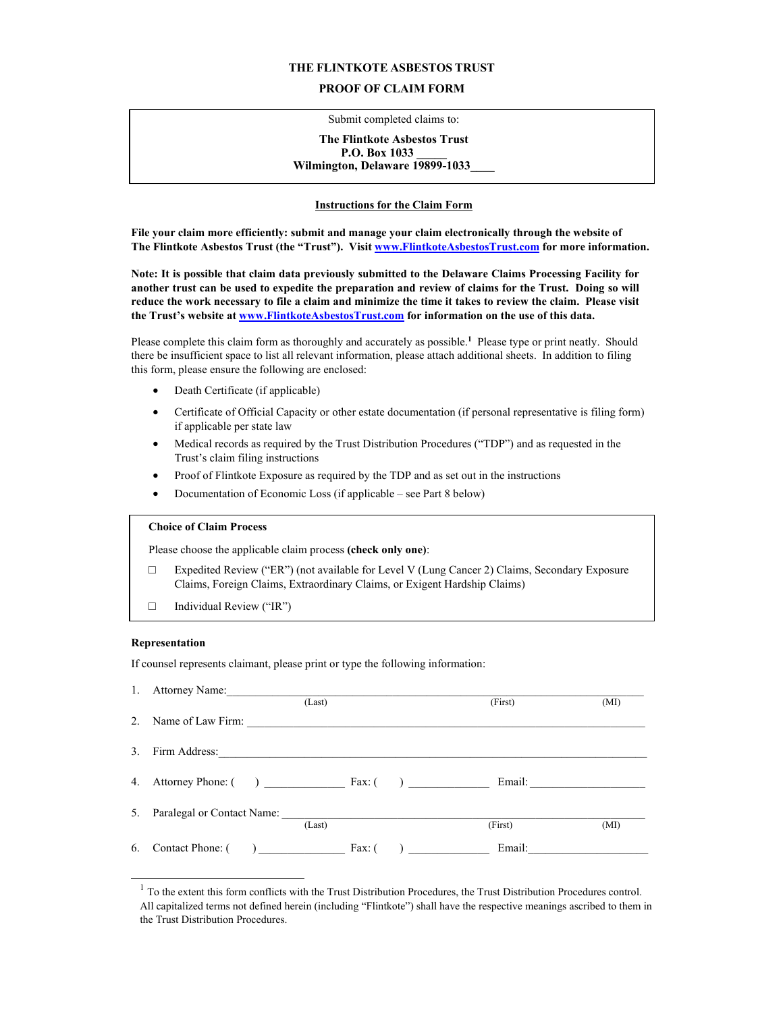#### **THE FLINTKOTE ASBESTOS TRUST**

## **PROOF OF CLAIM FORM**

Submit completed claims to:

#### **The Flintkote Asbestos Trust P.O. Box 1033** Wilmington, Delaware 19899-1033

### **Instructions for the Claim Form**

**File your claim more efficiently: submit and manage your claim electronically through the website of The Flintkote Asbestos Trust (the "Trust"). Visit www.FlintkoteAsbestosTrust.com for more information.** 

**Note: It is possible that claim data previously submitted to the Delaware Claims Processing Facility for another trust can be used to expedite the preparation and review of claims for the Trust. Doing so will reduce the work necessary to file a claim and minimize the time it takes to review the claim. Please visit the Trust's website at www.FlintkoteAsbestosTrust.com for information on the use of this data.** 

Please complete this claim form as thoroughly and accurately as possible.**<sup>1</sup>** Please type or print neatly. Should there be insufficient space to list all relevant information, please attach additional sheets. In addition to filing this form, please ensure the following are enclosed:

- Death Certificate (if applicable)
- Certificate of Official Capacity or other estate documentation (if personal representative is filing form) if applicable per state law
- Medical records as required by the Trust Distribution Procedures ("TDP") and as requested in the Trust's claim filing instructions
- Proof of Flintkote Exposure as required by the TDP and as set out in the instructions
- Documentation of Economic Loss (if applicable see Part 8 below)

# **Choice of Claim Process**

Please choose the applicable claim process **(check only one)**:

- **□** Expedited Review ("ER") (not available for Level V (Lung Cancer 2) Claims, Secondary Exposure Claims, Foreign Claims, Extraordinary Claims, or Exigent Hardship Claims)
- **□** Individual Review ("IR")

#### **Representation**

If counsel represents claimant, please print or type the following information:

|    | 1. Attorney Name:                        |        |                |                               |      |
|----|------------------------------------------|--------|----------------|-------------------------------|------|
|    |                                          | (Last) |                | (First)                       | (MI) |
| 2. | Name of Law Firm:                        |        |                |                               |      |
| 3. |                                          |        |                |                               |      |
|    | 4. Attorney Phone: $($ )  Fax: $($ ) $)$ |        |                | Email: <u>_______________</u> |      |
|    | 5. Paralegal or Contact Name:            | (Last) |                | (First)                       | (MI) |
|    | 6. Contact Phone: $($ $)$ Eax: $($       |        | $\overline{a}$ | Email:                        |      |

 $<sup>1</sup>$  To the extent this form conflicts with the Trust Distribution Procedures, the Trust Distribution Procedures control.</sup> All capitalized terms not defined herein (including "Flintkote") shall have the respective meanings ascribed to them in the Trust Distribution Procedures.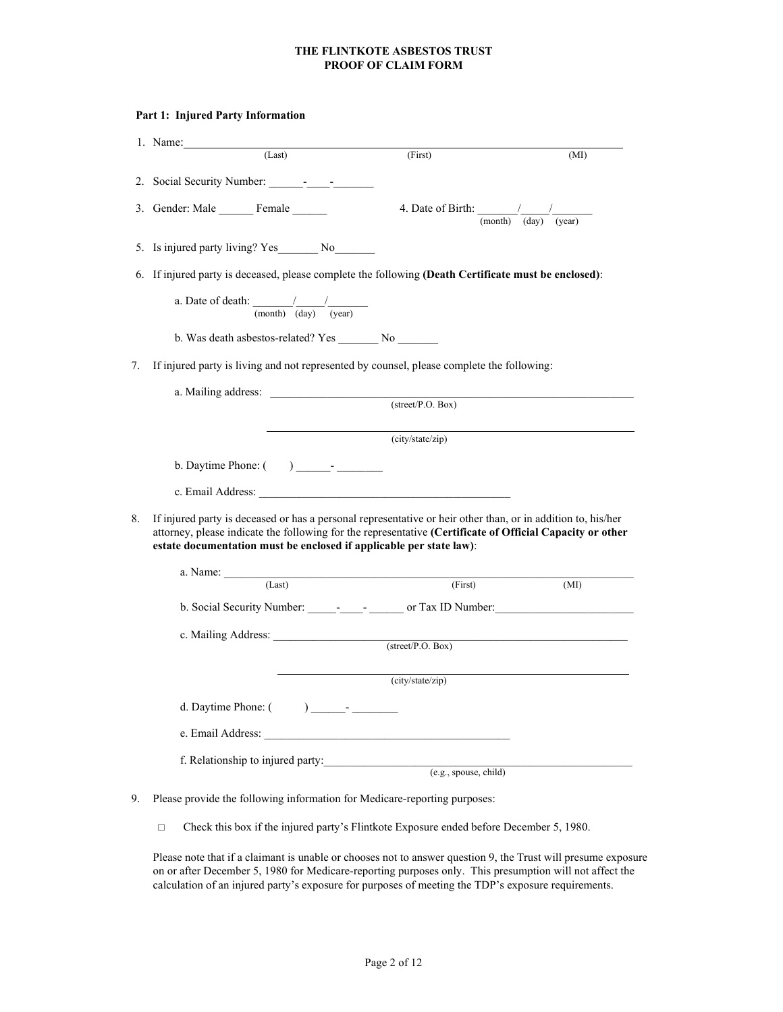|    | (Last)                                                                                                                                                                                                                                                                                           | (First)                                                                                              | (MI) |  |  |  |  |
|----|--------------------------------------------------------------------------------------------------------------------------------------------------------------------------------------------------------------------------------------------------------------------------------------------------|------------------------------------------------------------------------------------------------------|------|--|--|--|--|
|    | 2. Social Security Number: - - -                                                                                                                                                                                                                                                                 |                                                                                                      |      |  |  |  |  |
|    | 3. Gender: Male Female                                                                                                                                                                                                                                                                           | 4. Date of Birth: $\frac{1}{(month)} \frac{1}{(day)}$ (year)                                         |      |  |  |  |  |
|    |                                                                                                                                                                                                                                                                                                  |                                                                                                      |      |  |  |  |  |
|    |                                                                                                                                                                                                                                                                                                  | 6. If injured party is deceased, please complete the following (Death Certificate must be enclosed): |      |  |  |  |  |
|    | a. Date of death: $\frac{1}{(month)} \frac{1}{(day)}$                                                                                                                                                                                                                                            |                                                                                                      |      |  |  |  |  |
|    |                                                                                                                                                                                                                                                                                                  |                                                                                                      |      |  |  |  |  |
| 7. | If injured party is living and not represented by counsel, please complete the following:                                                                                                                                                                                                        |                                                                                                      |      |  |  |  |  |
|    |                                                                                                                                                                                                                                                                                                  |                                                                                                      |      |  |  |  |  |
|    |                                                                                                                                                                                                                                                                                                  | $\overline{\text{(street/P.O. Box)}}$                                                                |      |  |  |  |  |
|    |                                                                                                                                                                                                                                                                                                  | (city/state/zip)                                                                                     |      |  |  |  |  |
|    |                                                                                                                                                                                                                                                                                                  |                                                                                                      |      |  |  |  |  |
|    |                                                                                                                                                                                                                                                                                                  |                                                                                                      |      |  |  |  |  |
|    |                                                                                                                                                                                                                                                                                                  |                                                                                                      |      |  |  |  |  |
|    | If injured party is deceased or has a personal representative or heir other than, or in addition to, his/her<br>attorney, please indicate the following for the representative (Certificate of Official Capacity or other<br>estate documentation must be enclosed if applicable per state law): |                                                                                                      |      |  |  |  |  |
|    |                                                                                                                                                                                                                                                                                                  |                                                                                                      |      |  |  |  |  |
|    | $\text{a. Name:}$ (Last)                                                                                                                                                                                                                                                                         | (First)                                                                                              | (MI) |  |  |  |  |
| 8. | b. Social Security Number: - - - or Tax ID Number:                                                                                                                                                                                                                                               |                                                                                                      |      |  |  |  |  |
|    |                                                                                                                                                                                                                                                                                                  | $(\text{street/P.O. Box})$                                                                           |      |  |  |  |  |
|    |                                                                                                                                                                                                                                                                                                  | (city/state/zip)                                                                                     |      |  |  |  |  |
|    |                                                                                                                                                                                                                                                                                                  |                                                                                                      |      |  |  |  |  |
|    |                                                                                                                                                                                                                                                                                                  |                                                                                                      |      |  |  |  |  |
|    | f. Relationship to injured party: $(e.g., pouse, child)$                                                                                                                                                                                                                                         |                                                                                                      |      |  |  |  |  |

**□** Check this box if the injured party's Flintkote Exposure ended before December 5, 1980.

Please note that if a claimant is unable or chooses not to answer question 9, the Trust will presume exposure on or after December 5, 1980 for Medicare-reporting purposes only. This presumption will not affect the calculation of an injured party's exposure for purposes of meeting the TDP's exposure requirements.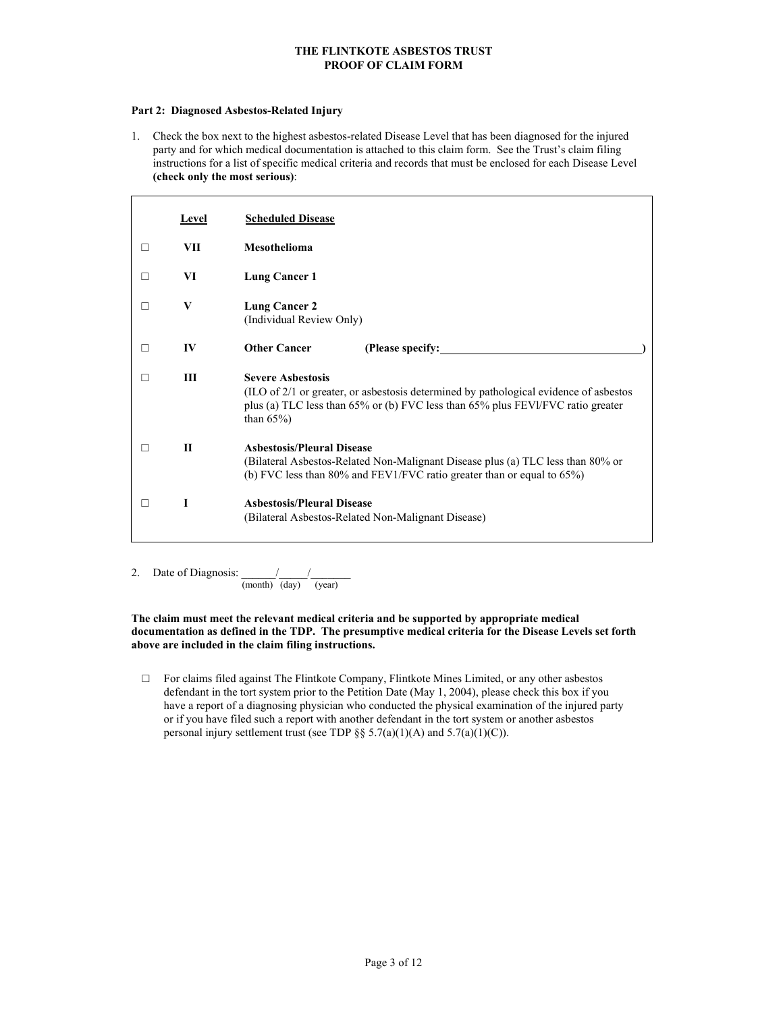#### **Part 2: Diagnosed Asbestos-Related Injury**

1. Check the box next to the highest asbestos-related Disease Level that has been diagnosed for the injured party and for which medical documentation is attached to this claim form. See the Trust's claim filing instructions for a list of specific medical criteria and records that must be enclosed for each Disease Level **(check only the most serious)**:

|         | Level        | <b>Scheduled Disease</b>                                                                                                                                                                                              |  |  |
|---------|--------------|-----------------------------------------------------------------------------------------------------------------------------------------------------------------------------------------------------------------------|--|--|
| $\perp$ | VII          | <b>Mesothelioma</b>                                                                                                                                                                                                   |  |  |
|         | VI           | Lung Cancer 1                                                                                                                                                                                                         |  |  |
| $\Box$  | V            | <b>Lung Cancer 2</b><br>(Individual Review Only)                                                                                                                                                                      |  |  |
|         | IV           | <b>Other Cancer</b>                                                                                                                                                                                                   |  |  |
|         | Ш            | <b>Severe Ashestosis</b><br>(ILO of 2/1 or greater, or asbestosis determined by pathological evidence of asbestos<br>plus (a) TLC less than 65% or (b) FVC less than 65% plus FEVI/FVC ratio greater<br>than $65\%$ ) |  |  |
|         | $\mathbf{H}$ | <b>Ashestosis/Pleural Disease</b><br>(Bilateral Asbestos-Related Non-Malignant Disease plus (a) TLC less than 80% or<br>(b) FVC less than $80\%$ and FEV1/FVC ratio greater than or equal to $65\%$ )                 |  |  |
|         | Т            | <b>Asbestosis/Pleural Disease</b><br>(Bilateral Asbestos-Related Non-Malignant Disease)                                                                                                                               |  |  |

2. Date of Diagnosis:  $\frac{1}{2}$  / (month) (day) (year)

**The claim must meet the relevant medical criteria and be supported by appropriate medical documentation as defined in the TDP. The presumptive medical criteria for the Disease Levels set forth above are included in the claim filing instructions.** 

**□** For claims filed against The Flintkote Company, Flintkote Mines Limited, or any other asbestos defendant in the tort system prior to the Petition Date (May 1, 2004), please check this box if you have a report of a diagnosing physician who conducted the physical examination of the injured party or if you have filed such a report with another defendant in the tort system or another asbestos personal injury settlement trust (see TDP §§  $5.7(a)(1)(A)$  and  $5.7(a)(1)(C)$ ).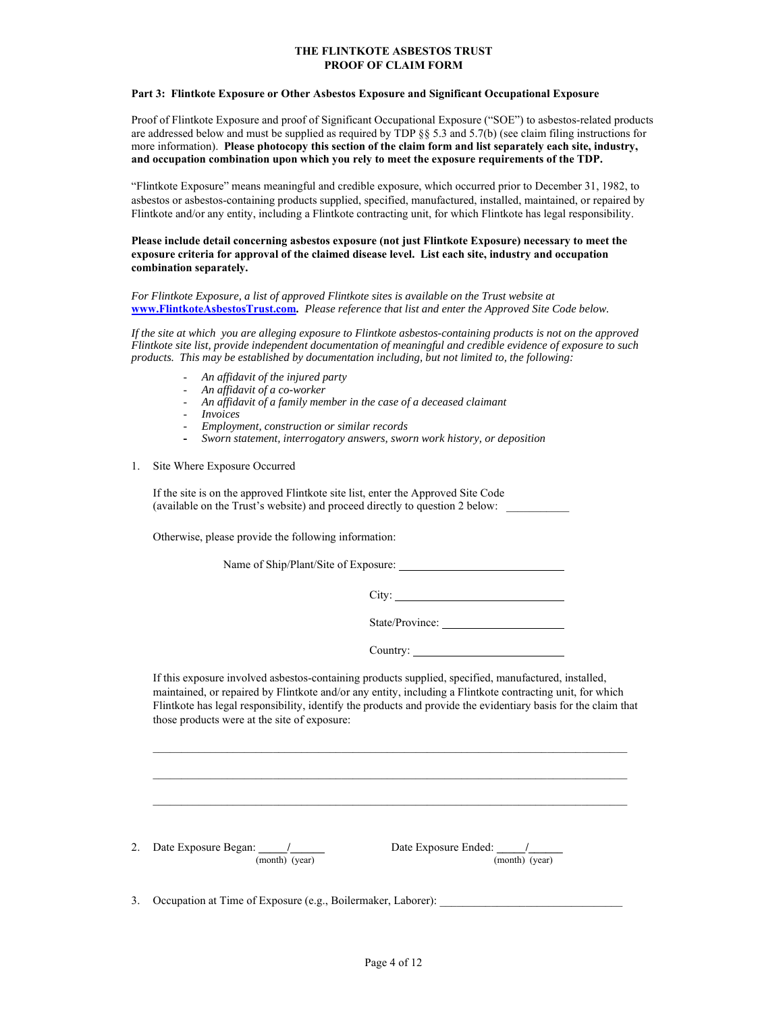#### **Part 3: Flintkote Exposure or Other Asbestos Exposure and Significant Occupational Exposure**

Proof of Flintkote Exposure and proof of Significant Occupational Exposure ("SOE") to asbestos-related products are addressed below and must be supplied as required by TDP §§ 5.3 and 5.7(b) (see claim filing instructions for more information). **Please photocopy this section of the claim form and list separately each site, industry, and occupation combination upon which you rely to meet the exposure requirements of the TDP.** 

"Flintkote Exposure" means meaningful and credible exposure, which occurred prior to December 31, 1982, to asbestos or asbestos-containing products supplied, specified, manufactured, installed, maintained, or repaired by Flintkote and/or any entity, including a Flintkote contracting unit, for which Flintkote has legal responsibility.

#### **Please include detail concerning asbestos exposure (not just Flintkote Exposure) necessary to meet the exposure criteria for approval of the claimed disease level. List each site, industry and occupation combination separately.**

#### *For Flintkote Exposure, a list of approved Flintkote sites is available on the Trust website at*  **www.FlintkoteAsbestosTrust.com***. Please reference that list and enter the Approved Site Code below.*

*If the site at which you are alleging exposure to Flintkote asbestos-containing products is not on the approved Flintkote site list, provide independent documentation of meaningful and credible evidence of exposure to such products. This may be established by documentation including, but not limited to, the following:* 

- *An affidavit of the injured party*
- *An affidavit of a co-worker*
- *An affidavit of a family member in the case of a deceased claimant*
- *Invoices*
- *Employment, construction or similar records*
- *Sworn statement, interrogatory answers, sworn work history, or deposition*
- 1. Site Where Exposure Occurred

If the site is on the approved Flintkote site list, enter the Approved Site Code (available on the Trust's website) and proceed directly to question 2 below: \_\_\_\_\_\_\_\_\_\_\_

Otherwise, please provide the following information:

Name of Ship/Plant/Site of Exposure:

City:

State/Province:

Country:

If this exposure involved asbestos-containing products supplied, specified, manufactured, installed, maintained, or repaired by Flintkote and/or any entity, including a Flintkote contracting unit, for which Flintkote has legal responsibility, identify the products and provide the evidentiary basis for the claim that those products were at the site of exposure:

 $\mathcal{L}_\text{max}$ 

 $\mathcal{L}_\mathcal{L} = \{ \mathcal{L}_\mathcal{L} = \{ \mathcal{L}_\mathcal{L} = \{ \mathcal{L}_\mathcal{L} = \{ \mathcal{L}_\mathcal{L} = \{ \mathcal{L}_\mathcal{L} = \{ \mathcal{L}_\mathcal{L} = \{ \mathcal{L}_\mathcal{L} = \{ \mathcal{L}_\mathcal{L} = \{ \mathcal{L}_\mathcal{L} = \{ \mathcal{L}_\mathcal{L} = \{ \mathcal{L}_\mathcal{L} = \{ \mathcal{L}_\mathcal{L} = \{ \mathcal{L}_\mathcal{L} = \{ \mathcal{L}_\mathcal{$ 

2. Date Exposure Began: 1. 2. Date Exposure Ended: 2. 2. Date Exposure Ended: 2. 2. 2. 2. 2. 2. 2. 2. 2. 2. 2. 2 (month) (year) (month) (year)

3. Occupation at Time of Exposure (e.g., Boilermaker, Laborer):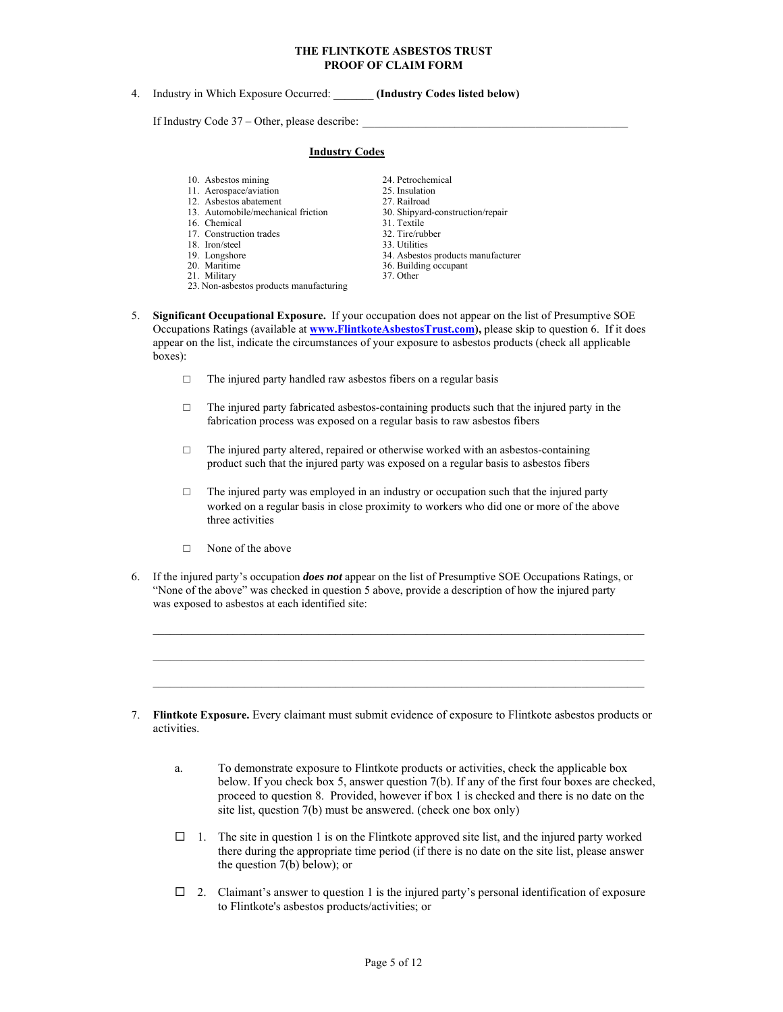4. Industry in Which Exposure Occurred: \_\_\_\_\_\_\_ **(Industry Codes listed below)**

If Industry Code  $37 -$ Other, please describe:

#### **Industry Codes**

- 10. Asbestos mining 24. Petrochemical
- 11. Aerospace/aviation 25. Insulation 25. Insulation 27. Railroad
- 12. Asbestos abatement 27. Railroad<br>
13. Automobile/mechanical friction<br>
20. Shipyard-construction/repair 13. Automobile/mechanical friction<br>16. Chemical
- 
- 17. Construction trades 32. Tire/rubber
- 18. Iron/steel 33. Utilities
- 
- 
- 21. Military
- 23. Non-asbestos products manufacturing
- -
	-
- 31. Textile
- 
- 19. Longshore 20. Maritime 34. Asbestos products manufacturer<br>
20. Maritime 36. Building occupant
	- 36. Building occupant<br>37. Other
	-
- 5. **Significant Occupational Exposure.** If your occupation does not appear on the list of Presumptive SOE Occupations Ratings (available at **www.FlintkoteAsbestosTrust.com),** please skip to question 6. If it does appear on the list, indicate the circumstances of your exposure to asbestos products (check all applicable boxes):
	- $\Box$  The injured party handled raw asbestos fibers on a regular basis
	- $\Box$  The injured party fabricated asbestos-containing products such that the injured party in the fabrication process was exposed on a regular basis to raw asbestos fibers
	- □ The injured party altered, repaired or otherwise worked with an asbestos-containing product such that the injured party was exposed on a regular basis to asbestos fibers
	- $\Box$  The injured party was employed in an industry or occupation such that the injured party worked on a regular basis in close proximity to workers who did one or more of the above three activities
	- □ None of the above
- 6. If the injured party's occupation *does not* appear on the list of Presumptive SOE Occupations Ratings, or "None of the above" was checked in question 5 above, provide a description of how the injured party was exposed to asbestos at each identified site:
- 7. **Flintkote Exposure.** Every claimant must submit evidence of exposure to Flintkote asbestos products or activities.

 $\mathcal{L}_\text{max}$ 

- a. To demonstrate exposure to Flintkote products or activities, check the applicable box below. If you check box 5, answer question 7(b). If any of the first four boxes are checked, proceed to question 8. Provided, however if box 1 is checked and there is no date on the site list, question 7(b) must be answered. (check one box only)
- $\Box$  1. The site in question 1 is on the Flintkote approved site list, and the injured party worked there during the appropriate time period (if there is no date on the site list, please answer the question 7(b) below); or
- $\Box$  2. Claimant's answer to question 1 is the injured party's personal identification of exposure to Flintkote's asbestos products/activities; or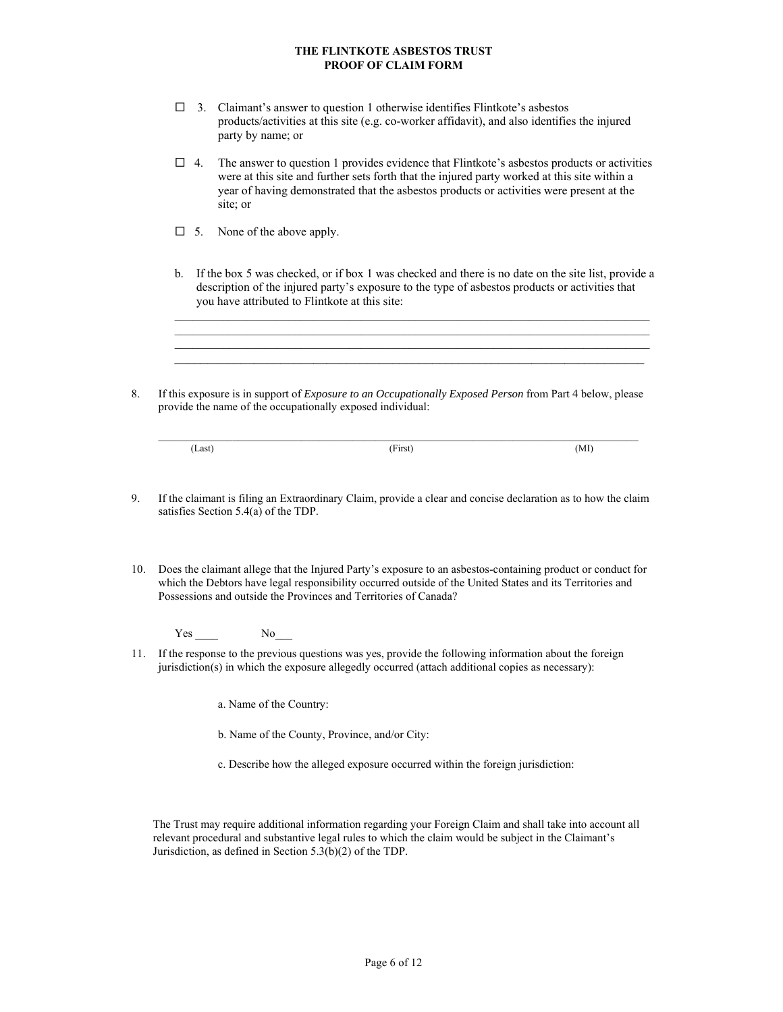- $\Box$  3. Claimant's answer to question 1 otherwise identifies Flintkote's asbestos products/activities at this site (e.g. co-worker affidavit), and also identifies the injured party by name; or
- $\Box$  4. The answer to question 1 provides evidence that Flintkote's asbestos products or activities were at this site and further sets forth that the injured party worked at this site within a year of having demonstrated that the asbestos products or activities were present at the site; or
- $\Box$  5. None of the above apply.
- b. If the box 5 was checked, or if box 1 was checked and there is no date on the site list, provide a description of the injured party's exposure to the type of asbestos products or activities that you have attributed to Flintkote at this site:

 $\mathcal{L}_\mathcal{L} = \{ \mathcal{L}_\mathcal{L} = \{ \mathcal{L}_\mathcal{L} = \{ \mathcal{L}_\mathcal{L} = \{ \mathcal{L}_\mathcal{L} = \{ \mathcal{L}_\mathcal{L} = \{ \mathcal{L}_\mathcal{L} = \{ \mathcal{L}_\mathcal{L} = \{ \mathcal{L}_\mathcal{L} = \{ \mathcal{L}_\mathcal{L} = \{ \mathcal{L}_\mathcal{L} = \{ \mathcal{L}_\mathcal{L} = \{ \mathcal{L}_\mathcal{L} = \{ \mathcal{L}_\mathcal{L} = \{ \mathcal{L}_\mathcal{$ 

8. If this exposure is in support of *Exposure to an Occupationally Exposed Person* from Part 4 below, please provide the name of the occupationally exposed individual:

 $\mathcal{L}_\text{max}$  and the contribution of the contribution of the contribution of the contribution of the contribution of

| Last <sup>)</sup> | Tiret1<br>тим. | (MI) |
|-------------------|----------------|------|

- 9. If the claimant is filing an Extraordinary Claim, provide a clear and concise declaration as to how the claim satisfies Section 5.4(a) of the TDP.
- 10. Does the claimant allege that the Injured Party's exposure to an asbestos-containing product or conduct for which the Debtors have legal responsibility occurred outside of the United States and its Territories and Possessions and outside the Provinces and Territories of Canada?

 $Yes \_ No \_$ 

- 11. If the response to the previous questions was yes, provide the following information about the foreign jurisdiction(s) in which the exposure allegedly occurred (attach additional copies as necessary):
	- a. Name of the Country:
	- b. Name of the County, Province, and/or City:
	- c. Describe how the alleged exposure occurred within the foreign jurisdiction:

The Trust may require additional information regarding your Foreign Claim and shall take into account all relevant procedural and substantive legal rules to which the claim would be subject in the Claimant's Jurisdiction, as defined in Section 5.3(b)(2) of the TDP.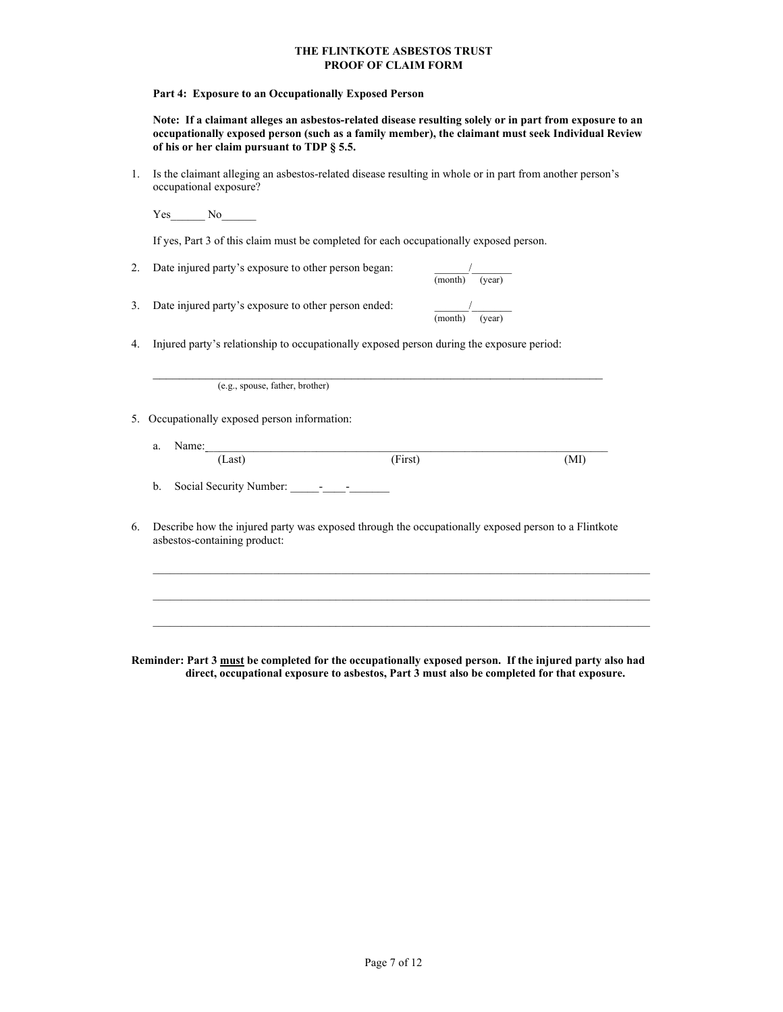**Part 4: Exposure to an Occupationally Exposed Person** 

**Note: If a claimant alleges an asbestos-related disease resulting solely or in part from exposure to an occupationally exposed person (such as a family member), the claimant must seek Individual Review of his or her claim pursuant to TDP § 5.5.** 

1. Is the claimant alleging an asbestos-related disease resulting in whole or in part from another person's occupational exposure?

Yes No

If yes, Part 3 of this claim must be completed for each occupationally exposed person.

| Date injured party's exposure to other person began: | (month)<br>(vear) |
|------------------------------------------------------|-------------------|
| Date injured party's exposure to other person ended: | (month)<br>(year) |

4. Injured party's relationship to occupationally exposed person during the exposure period:

\_\_\_\_\_\_\_\_\_\_\_\_\_\_\_\_\_\_\_\_\_\_\_\_\_\_\_\_\_\_\_\_\_\_\_\_\_\_\_\_\_\_\_\_\_\_\_\_\_\_\_\_\_\_\_\_\_\_\_\_\_\_\_\_\_\_\_\_ (e.g., spouse, father, brother)

5. Occupationally exposed person information:

- a. Name:  $\Box$ (Last) (First) (MI)
	- b. Social Security Number: \_\_\_\_\_-\_\_\_\_-\_\_\_\_\_\_\_
- 6. Describe how the injured party was exposed through the occupationally exposed person to a Flintkote asbestos-containing product:

 $\mathcal{L}_\text{max}$ 

 $\mathcal{L}_\text{max}$ 

**Reminder: Part 3 must be completed for the occupationally exposed person. If the injured party also had direct, occupational exposure to asbestos, Part 3 must also be completed for that exposure.**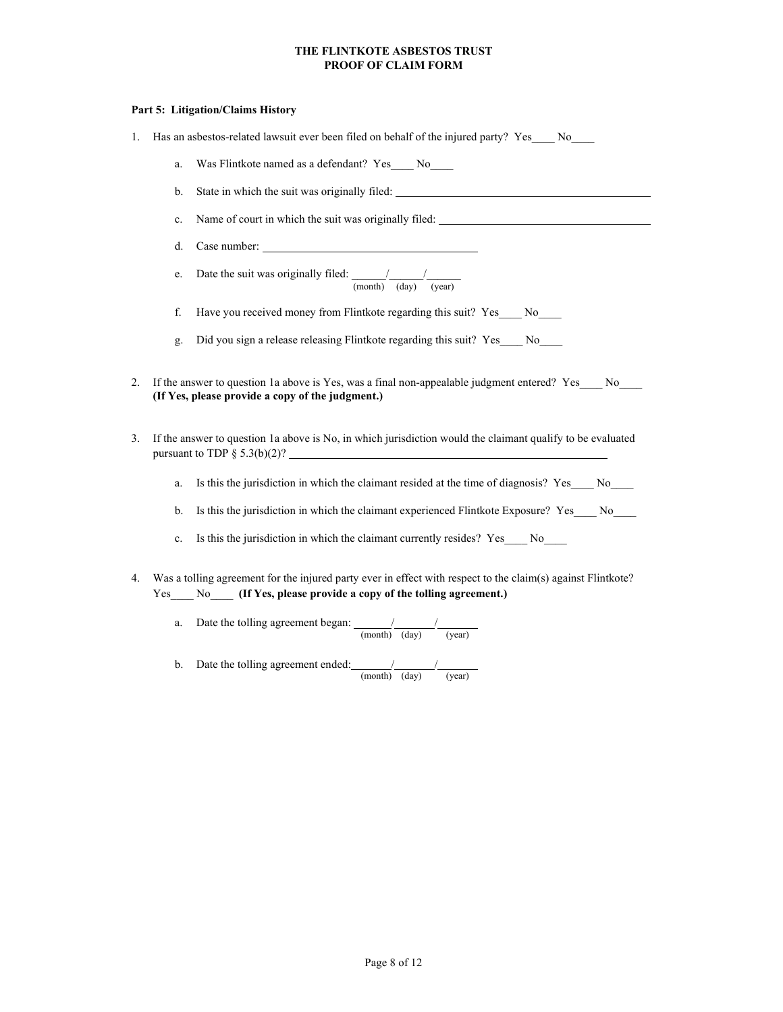#### **Part 5: Litigation/Claims History**

- 1. Has an asbestos-related lawsuit ever been filed on behalf of the injured party? Yes\_\_\_ No\_\_\_
	- a. Was Flintkote named as a defendant? Yes No
	- b. State in which the suit was originally filed: \_\_\_\_\_\_\_\_\_\_\_\_\_\_\_\_\_\_\_\_\_\_\_\_\_\_\_\_\_\_\_\_
	- c. Name of court in which the suit was originally filed:
	- d. Case number:
	- e. Date the suit was originally filed:  $\frac{1}{2}$  / (month) (day) (year)
	- f. Have you received money from Flintkote regarding this suit? Yes No
	- g. Did you sign a release releasing Flintkote regarding this suit? Yes\_\_\_\_ No\_\_\_\_
- 2. If the answer to question 1a above is Yes, was a final non-appealable judgment entered? Yes No **(If Yes, please provide a copy of the judgment.)**
- 3. If the answer to question 1a above is No, in which jurisdiction would the claimant qualify to be evaluated pursuant to TDP  $\S$  5.3(b)(2)?
	- a. Is this the jurisdiction in which the claimant resided at the time of diagnosis? Yes No
	- b. Is this the jurisdiction in which the claimant experienced Flintkote Exposure? Yes No
	- c. Is this the jurisdiction in which the claimant currently resides? Yes \_\_\_\_ No\_\_\_\_
- 4. Was a tolling agreement for the injured party ever in effect with respect to the claim(s) against Flintkote? Yes No (If Yes, please provide a copy of the tolling agreement.)
	- a. Date the tolling agreement began:  $\frac{1}{2}$ (month) (day) (year)
	- b. Date the tolling agreement ended:  $\frac{1}{2}$ (month) (day) (year)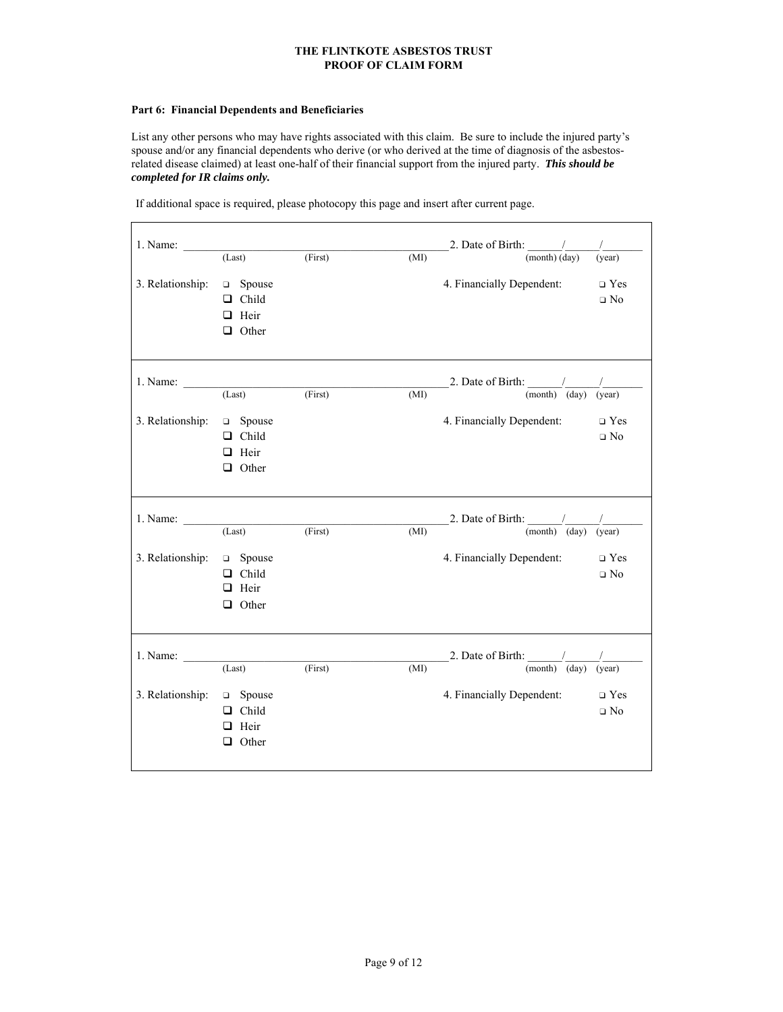### **Part 6: Financial Dependents and Beneficiaries**

List any other persons who may have rights associated with this claim. Be sure to include the injured party's spouse and/or any financial dependents who derive (or who derived at the time of diagnosis of the asbestosrelated disease claimed) at least one-half of their financial support from the injured party. *This should be completed for IR claims only.*

If additional space is required, please photocopy this page and insert after current page.

| 1. Name: $\frac{ }{ }$ |               |         |      | 2. Date of Birth: $\frac{1}{2}$                              |              |
|------------------------|---------------|---------|------|--------------------------------------------------------------|--------------|
|                        | (Last)        | (First) | (MI) | $\overline{\text{(month)}\text{(day)}}$                      | (year)       |
| 3. Relationship:       | $\Box$ Spouse |         |      | 4. Financially Dependent:                                    | $\Box$ Yes   |
|                        | $\Box$ Child  |         |      |                                                              | $\square$ No |
|                        | $\Box$ Heir   |         |      |                                                              |              |
|                        | $\Box$ Other  |         |      |                                                              |              |
|                        |               |         |      |                                                              |              |
| 1. Name: $\frac{ }{ }$ |               |         |      | 2. Date of Birth: $\frac{\ }{\ }$                            |              |
|                        | (Last)        | (First) | (MI) | $\overline{\text{(month)}}$ $\overline{\text{(day)}}$        | (year)       |
| 3. Relationship:       | □ Spouse      |         |      | 4. Financially Dependent:                                    | $\Box$ Yes   |
|                        | $\Box$ Child  |         |      |                                                              | $\Box$ No    |
|                        | $\Box$ Heir   |         |      |                                                              |              |
|                        | $\Box$ Other  |         |      |                                                              |              |
|                        |               |         |      |                                                              |              |
|                        |               |         |      |                                                              |              |
| 1. Name:               |               |         |      |                                                              |              |
|                        | (Last)        | (First) | (MI) | 2. Date of Birth: $\frac{1}{(month)}$                        | (year)       |
| 3. Relationship:       | □ Spouse      |         |      | 4. Financially Dependent:                                    | $\Box$ Yes   |
|                        | $\Box$ Child  |         |      |                                                              | $\Box$ No    |
|                        | $\Box$ Heir   |         |      |                                                              |              |
|                        | $\Box$ Other  |         |      |                                                              |              |
|                        |               |         |      |                                                              |              |
| 1. Name:               |               |         |      |                                                              |              |
|                        | (Last)        | (First) | (MI) | 2. Date of Birth: $\frac{1}{(month)} \frac{1}{(day) (year)}$ |              |
| 3. Relationship:       | □ Spouse      |         |      | 4. Financially Dependent:                                    | $\Box$ Yes   |
|                        | $\Box$ Child  |         |      |                                                              | $\Box$ No    |
|                        | $\Box$ Heir   |         |      |                                                              |              |
|                        | $\Box$ Other  |         |      |                                                              |              |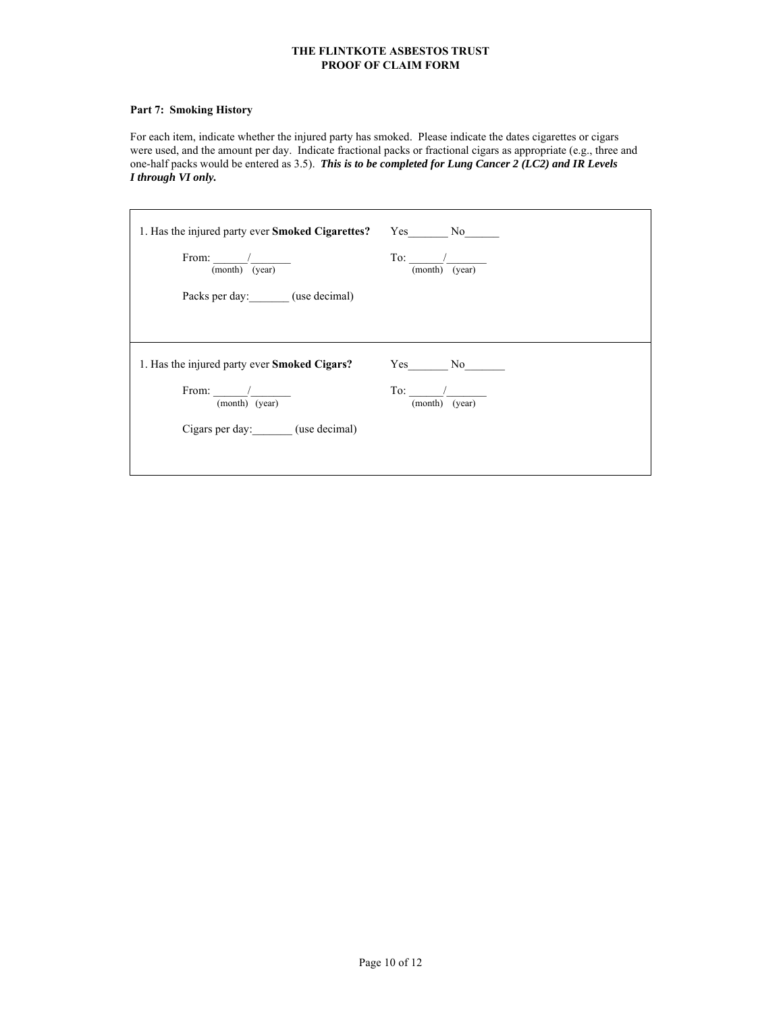# **Part 7: Smoking History**

For each item, indicate whether the injured party has smoked. Please indicate the dates cigarettes or cigars were used, and the amount per day. Indicate fractional packs or fractional cigars as appropriate (e.g., three and one-half packs would be entered as 3.5). *This is to be completed for Lung Cancer 2 (LC2) and IR Levels I through VI only.*

| 1. Has the injured party ever <b>Smoked Cigarettes?</b> Yes No |                           |
|----------------------------------------------------------------|---------------------------|
| From: $\frac{1}{\sqrt{2}}$<br>(month) (year)                   | $To:$ /<br>(month) (year) |
| Packs per day: (use decimal)                                   |                           |
|                                                                |                           |
| 1. Has the injured party ever <b>Smoked Cigars?</b>            | Yes No                    |
| From: /<br>(month) (year)                                      | To:<br>(month) (year)     |
| Cigars per day: (use decimal)                                  |                           |
|                                                                |                           |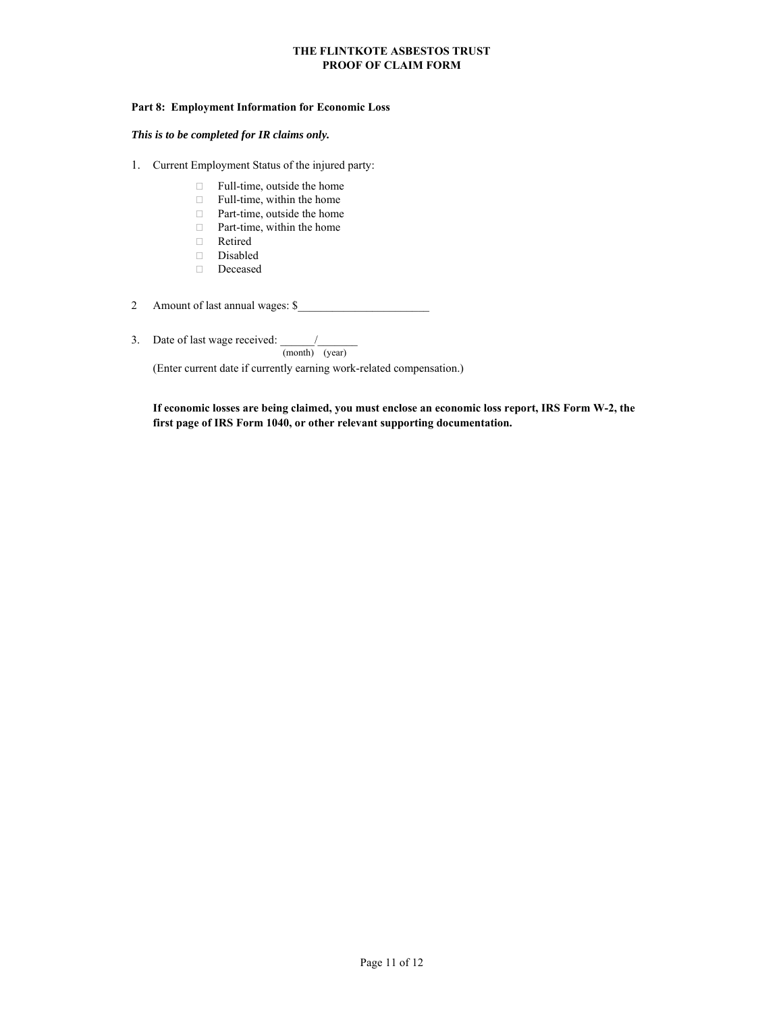#### **Part 8: Employment Information for Economic Loss**

#### *This is to be completed for IR claims only.*

- 1. Current Employment Status of the injured party:
	- □ Full-time, outside the home
	- $\Box$  Full-time, within the home
	- □ Part-time, outside the home
	- $\Box$  Part-time, within the home
	- Retired
	- Disabled
	- $\hfill\Box$  Deceased
- 2 Amount of last annual wages: \$\_\_\_\_\_\_\_\_\_\_\_\_\_\_\_\_\_\_\_\_\_\_\_
- 3. Date of last wage received: \_\_\_\_\_\_/\_\_\_\_\_\_\_

(month) (year)

(Enter current date if currently earning work-related compensation.)

**If economic losses are being claimed, you must enclose an economic loss report, IRS Form W-2, the first page of IRS Form 1040, or other relevant supporting documentation.**